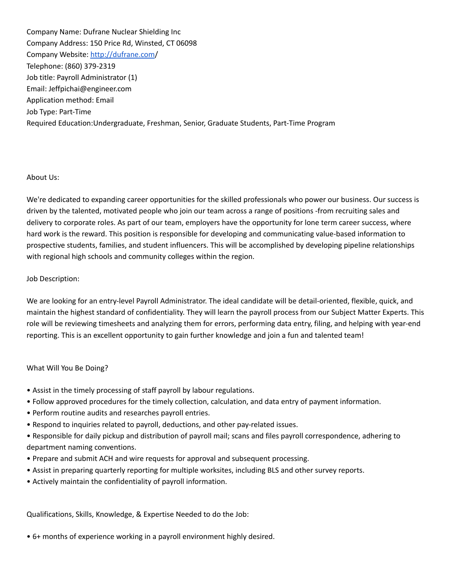Company Name: Dufrane Nuclear Shielding Inc Company Address: 150 Price Rd, Winsted, CT 06098 Company Website: [http://dufrane.com](https://nam02.safelinks.protection.outlook.com/?url=http%3A%2F%2Fdufrane.com%2F&data=04%7C01%7CJFiorello%40nwcc.commnet.edu%7Cc24dc9c1a07e44ccae5108d9be447a0d%7C679df878277a496aac8dd99e58606dd9%7C0%7C0%7C637750023591145922%7CUnknown%7CTWFpbGZsb3d8eyJWIjoiMC4wLjAwMDAiLCJQIjoiV2luMzIiLCJBTiI6Ik1haWwiLCJXVCI6Mn0%3D%7C3000&sdata=W3TI%2B3GyHjglBdtb2nGVWX4UyULM%2BoVhqX9BOq1Ap20%3D&reserved=0)/ Telephone: (860) 379-2319 Job title: Payroll Administrator (1) Email: Jeffpichai@engineer.com Application method: Email Job Type: Part-Time Required Education:Undergraduate, Freshman, Senior, Graduate Students, Part-Time Program

## About Us:

We're dedicated to expanding career opportunities for the skilled professionals who power our business. Our success is driven by the talented, motivated people who join our team across a range of positions -from recruiting sales and delivery to corporate roles. As part of our team, employers have the opportunity for lone term career success, where hard work is the reward. This position is responsible for developing and communicating value-based information to prospective students, families, and student influencers. This will be accomplished by developing pipeline relationships with regional high schools and community colleges within the region.

## Job Description:

We are looking for an entry-level Payroll Administrator. The ideal candidate will be detail-oriented, flexible, quick, and maintain the highest standard of confidentiality. They will learn the payroll process from our Subject Matter Experts. This role will be reviewing timesheets and analyzing them for errors, performing data entry, filing, and helping with year-end reporting. This is an excellent opportunity to gain further knowledge and join a fun and talented team!

## What Will You Be Doing?

- Assist in the timely processing of staff payroll by labour regulations.
- Follow approved procedures for the timely collection, calculation, and data entry of payment information.
- Perform routine audits and researches payroll entries.
- Respond to inquiries related to payroll, deductions, and other pay-related issues.
- Responsible for daily pickup and distribution of payroll mail; scans and files payroll correspondence, adhering to department naming conventions.
- Prepare and submit ACH and wire requests for approval and subsequent processing.
- Assist in preparing quarterly reporting for multiple worksites, including BLS and other survey reports.
- Actively maintain the confidentiality of payroll information.

Qualifications, Skills, Knowledge, & Expertise Needed to do the Job:

• 6+ months of experience working in a payroll environment highly desired.